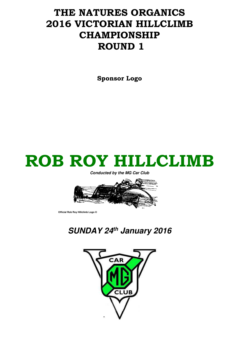# THE NATURES ORGANICS 2016 VICTORIAN HILLCLIMB CHAMPIONSHIP ROUND 1

Sponsor Logo



**Conducted by the MG Car Club** 



 **Official Rob Roy Hillclimb Logo ©** 

**SUNDAY 24th January 2016** 

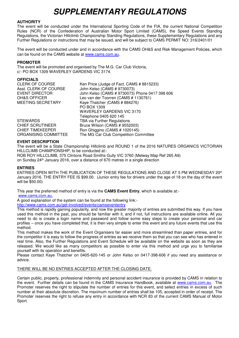## **SUPPLEMENTARY REGULATIONS**

## **AUTHORITY**

The event will be conducted under the International Sporting Code of the FIA, the current National Competition Rules (NCR) of the Confederation of Australian Motor Sport Limited (CAMS), the Speed Events Standing Regulations, the Victorian Hillclimb Championship Standing Regulations, these Supplementary Regulations and any Further Regulations or instructions that may be issued, and will be subject to CAMS PERMIT NO: 316/2401/01

The event will be conducted under and in accordance with the CAMS OH&S and Risk Management Policies, which can be found on the CAMS website at www.cams.com.au.

#### **PROMOTER**

The event will be promoted and organised by The M.G. Car Club Victoria, c/- PO BOX 1309 WAVERLEY GARDENS VIC 3174.

#### **OFFICIALS**

| <b>CLERK OF COURSE</b>   | Ken Price (Judge of Fact, CAMS # 8815233)      |
|--------------------------|------------------------------------------------|
| Asst. CLERK OF COURSE    | John Kelso (CAMS # 9730073)                    |
| EVENT DIRECTOR           | John Kelso (CAMS # 9730073) Phone 0417 398 606 |
| <b>OH&amp;S OFFICER</b>  | Leo van der Toorren (CAMS # 1130761)           |
| <b>MEETING SECRETARY</b> | Kaye Thatcher (CAMS # 884276)                  |
|                          | PO BOX 1309                                    |
|                          | <b>WAVERLEY GARDENS VIC 3170</b>               |
|                          | Telephone 0405 620 145                         |
| <b>STEWARDS</b>          | <b>TBA via Further Regulations</b>             |
| <b>CHIEF SCRUTINEER</b>  | Bruce Wilson (CAMS # 9552003)                  |
| <b>CHIEF TIMEKEEPER</b>  | Ron Ghiggino (CAMS # 1020145)                  |
| ORGANISING COMMITTEE     | The MG Car Club Competition Committee          |

## **EVENT DESCRIPTION**

The event will be a State Championship Hillclimb and ROUND 1 of the 2016 NATURES ORGANICS VICTORIAN HILLCLIMB CHAMPIONSHIP, to be conducted at:- ROB ROY HILLCLIMB, 375 Clintons Road Smiths Gully VIC 3760 (Melway Map Ref 265 A9) on Sunday 24th January 2016, over a distance of 670 metres in a single direction

#### **ENTRIES**

ENTRIES OPEN WITH THE PUBLICATION OF THESE REGULATIONS AND CLOSE AT 5 PM WEDNESDAY 20<sup>th</sup> January 2016. THE ENTRY FEE IS \$99.00. (Junior entry fee for drivers under the age of 18 on the day of the event will be \$50.00)

This year the preferred method of entry is via the **CAMS Event Entry**, which is available at:-

www.cams.com.au.

A good explanation of the system can be found at the following link:-

http://www.cams.com.au/get-involved/events/camsevententry

This method is rapidly gaining popularity, and now the greater majority of entries are submitted this way. If you have used this method in the past, you should be familiar with it, and if not, full instructions are available online. All you need to do is create a login name and password and follow some easy steps to create your personal and car profiles – once you have completed that, it is then very simple to enter this event and any future events that use this method.

This method makes the work of the Event Organisers far easier and more streamlined than paper entries, and for the competitor it is easy to follow the progress of entries as we receive them so that you can see who has entered in real time. Also, the Further Regulations and Event Schedule will be available on the website as soon as they are released. We would like as many competitors as possible to enter via this method and urge you to familiarise yourself with its operation and benefits.

Please contact Kaye Thatcher on 0405-620-145 or John Kelso on 0417-398-606 if you need any assistance or advice.

#### THERE WILL BE NO ENTRIES ACCEPTED AFTER THE CLOSING DATE.

Certain public, property, professional indemnity and personal accident insurance is provided by CAMS in relation to the event. Further details can be found in the CAMS Insurance Handbook, available at www.cams.com.au. The Promoter reserves the right to stipulate the number of entries for this event, and select entries in excess of such number at their absolute discretion. The maximum number of entries shall be 105, accepted in order of receipt. The Promoter reserves the right to refuse any entry in accordance with NCR 83 of the current CAMS Manual of Motor Sport.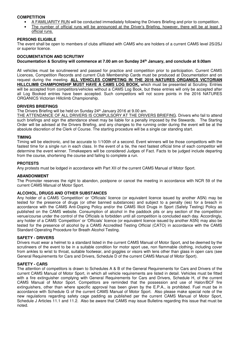## **COMPETITION**

- A FAMILIARITY RUN will be conducted immediately following the Drivers Briefing and prior to competition.
- The number of official runs will be announced at the Driver's Briefing, however, there will be at least 3 official runs.

#### **PERSONS ELIGIBLE**

The event shall be open to members of clubs affiliated with CAMS who are holders of a current CAMS level 2S/2SJ or superior licence.

#### **DOCUMENTATION AND SCRUTINY Documentation & Scrutiny will commence at 7.00 am on Sunday 24th January, and conclude at 9.00am**

All vehicles must be scrutineered and passed for practice and competition prior to participation. Current CAMS Licences, Competition Records and current Club Membership Cards must be produced at Documentation and on request during the meeting. **ALL VEHICLES COMPETING IN THE 2016 NATURES ORGANICS VICTORIAN HILLCLIMB CHAMPIONSHIP MUST HAVE A CAMS LOG BOOK,** which must be presented at Scrutiny. Entries will be accepted from competitors/vehicles without a CAMS Log Book, but these entries will only be accepted after all Log Booked entries have been accepted. Such competitors will not score points in the 2016 NATURES ORGANICS Victorian Hillclimb Championship.

#### **DRIVERS BRIEFINGS**

The Drivers Briefing will be held on Sunday 24<sup>th</sup> January 2016 at 9.00 am.

THE ATTENDANCE OF ALL DRIVERS IS COMPULSORY AT THE DRIVERS BRIEFING. Drivers who fail to attend such briefings and sign the attendance sheet may be liable for a penalty imposed by the Stewards. The Starting Order will be advised at the Drivers Briefing, and any changes to the running order during the event will be at the absolute discretion of the Clerk of Course. The starting procedure will be a single car standing start.

#### **TIMING**

Timing will be electronic, and be accurate to 1/100th of a second. Event winners will be those competitors with the fastest time for a single run in each class. In the event of a tie, the next fastest official time of each competitor will determine the event winner. Timekeepers will be considered Judges of Fact. Facts to be judged include departing from the course, shortening the course and failing to complete a run.

#### **PROTESTS**

Any protests must be lodged in accordance with Part XII of the current CAMS Manual of Motor Sport.

#### **ABANDONMENT**

The Promoter reserves the right to abandon, postpone or cancel the meeting in accordance with NCR 59 of the current CAMS Manual of Motor Sport.

## **ALCOHOL, DRUGS AND OTHER SUBSTANCES**

Any holder of a CAMS 'Competition' or 'Officials' licence (or equivalent licence issued by another ASN) may be tested for the presence of drugs (or other banned substances) and subject to a penalty (ies) for a breach in accordance with the CAMS Anti-Doping Policy and/or the CAMS Illicit Drugs in Sport (Safety Testing) Policy as published on the CAMS website. Consumption of alcohol in the paddock pits or any section of the competition venue/course under the control of the Officials is forbidden until all competition is concluded each day. Accordingly, any holder of a CAMS 'Competition' or 'Officials' licence (or equivalent licence issued by another ASN) may also be tested for the presence of alcohol by a CAMS Accredited Testing Official (CATO) in accordance with the CAMS Standard Operating Procedure for Breath Alcohol Testing.

#### **SAFETY - DRIVERS**

Drivers must wear a helmet to a standard listed in the current CAMS Manual of Motor Sport, and be deemed by the scrutineers of the event to be in a suitable condition for motor sport use, non flammable clothing, including cover from ankles to wrist to throat, suitable footwear, and goggles or visors with lens other than glass in open cars (see General Requirements for Cars and Drivers, Schedule D of the current CAMS Manual of Motor Sport).

#### **SAFETY - CARS**

The attention of competitors is drawn to Schedules A & B of the General Requirements for Cars and Drivers of the current CAMS Manual of Motor Sport, in which all vehicle requirements are listed in detail. Vehicles must be fitted with a fire extinguisher complying with General Requirements for Cars and Drivers, Schedule H, of the current CAMS Manual of Motor Sport. Competitors are reminded that the possession and use of Halon/BCF fire extinguishers, other than where specific approval has been given by the E.P.A., is prohibited. Fuel must be in accordance with Schedule G of the current CAMS Manual of Motor Sport. Also please make special note of the new regulations regarding safety cage padding as published per the current CAMS Manual of Motor Sport, Schedule J Articles 11.1 and 11.2. Also be aware that CAMS may issue Bulletins regarding this issue that must be noted.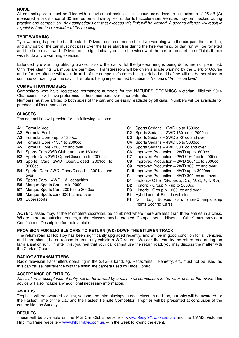## **NOISE**

All competing cars must be fitted with a device that restricts the exhaust noise level to a maximum of 95 dB (A) measured at a distance of 30 metres on a drive by test under full acceleration. Vehicles may be checked during practice and competition. Any competitor's car that exceeds this limit will be warned. A second offence will result in expulsion from the remainder of the meeting.

## **TYRE WARMING**

Tyre warming is permitted at the start. Drivers must commence their tyre warming with the car past the start line, and any part of the car must not pass over the false start line during the tyre warming, or that run will be forfeited and the time disallowed. Drivers must signal clearly outside the window of the car to the start line officials if they wish to do a tyre warming exercise.

Extended tyre warming utilising brakes to slow the car whilst the tyre warming is being done, are not permitted. Only "tyre cleaning" warmups are permitted. Transgressors will be given a single warning by the Clerk of Course and a further offence will result in **ALL** of the competitor's times being forfeited and he/she will not be permitted to continue competing on the day. This rule is being implemented because of Victoria's "Anti Hoon laws".

#### **COMPETITION NUMBERS**

Competitors who have registered permanent numbers for the NATURES ORGANICS Victorian Hillclimb 2016 Championship will have preference to those numbers over other entrants.

Numbers must be affixed to both sides of the car, and be easily readable by officials. Numbers will be available for purchase at Documentation.

## **CLASSES**

The competition will provide for the following classes:

- **A1** Formula Vee
- **A2** Formula Ford
- **A3** Formula Libre up to 1300cc
- **A4** Formula Libre 1301 to 2000cc
- **A5** Formula Libre 2001cc and over
- **B1** Sports Cars 2WD Clubman up to 1600cc
- **B2** Sports Cars 2WD Open/Closed up to 2000 cc
- **B3** Sports Cars 2WD Open/Closed 2001cc to 3000cc
- **B4** Sports Cars 2WD Open/Closed 3001cc and over
- **B5** Sports Cars 4WD All capacities
- **B6** Marque Sports Cars up to 2000cc
- **B7** Marque Sports Cars 2001cc to 3000cc
- **B8** Marque Sports cars 3001cc and over
- **B9** Supersports
- **C1** Sports Sedans 2WD up to 1600cc
- **C2** Sports Sedans 2WD 1601cc to 2000cc
- **C3** Sports Sedans 2WD 2001cc and over
- **C4** Sports Sedans 4WD up to 3000cc
- **C5** Sports Sedans 4WD 3001cc and over
- **C6** Improved Production 2WD up to1600cc
- **C7** Improved Production 2WD 1601cc to 2000cc
- **C8** Improved Production 2WD 2001cc to 3000cc
- **C9** Improved Production 2WD 3001cc and over
- **C10** Improved Production 4WD up to 3000cc
- **C11** Improved Production 4WD 3001cc and over
- **D1** Historic– Other (Groups J, K, L, M, O, P, Q & R)
- **D2** Historic Group N up to 2000cc
- **D3** Historic Group N 2001cc and over
- **E1** Hybrid and all Electric vehicles
- **F1** Non Log Booked cars (non-Championship Points Scoring Cars)

**NOTE**: Classes may, at the Promoters discretion, be combined where there are less than three entries in a class. Where there are sufficient entries, further classes may be created. Competitors in "Historic – Other" must provide a Certificate of Description for their vehicle.

#### **PROVISION FOR ELIGIBLE CARS TO RETURN (WD) DOWN THE BITUMEN TRACK**

The return road at Rob Roy has been significantly upgraded recently, and will be in good condition for all vehicles, and there should be no reason to grant any vehicle a WD return. We ask that you try the return road during the familiarisation run. If, after this, you feel that your car cannot use the return road, you may discuss the matter with the Clerk of Course.

#### **RADIO/TV TRANSMITTERS**

Radio/television transmitters operating in the 2.4GHz band, eg. RaceCams, Telemetry, etc, must not be used, as this can cause interference with the finish line camera used by Race Control.

#### **ACCEPTANCE OF ENTRIES**

Notification of acceptance of entry will be forwarded by e-mail to all competitors in the week prior to the event. This advice will also include any additional necessary information.

#### **AWARDS**

Trophies will be awarded for first, second and third placings in each class. In addition, a trophy will be awarded for the Fastest Time of the Day and the Fastest Female Competitor. Trophies will be presented at conclusion of the competition on Sunday.

#### **RESULTS**

These will be available on the MG Car Club's website - www.robroyhillclimb.com.au and the CAMS Victorian Hillclimb Panel website – www.hillclimbvic.com.au – in the week following the event.